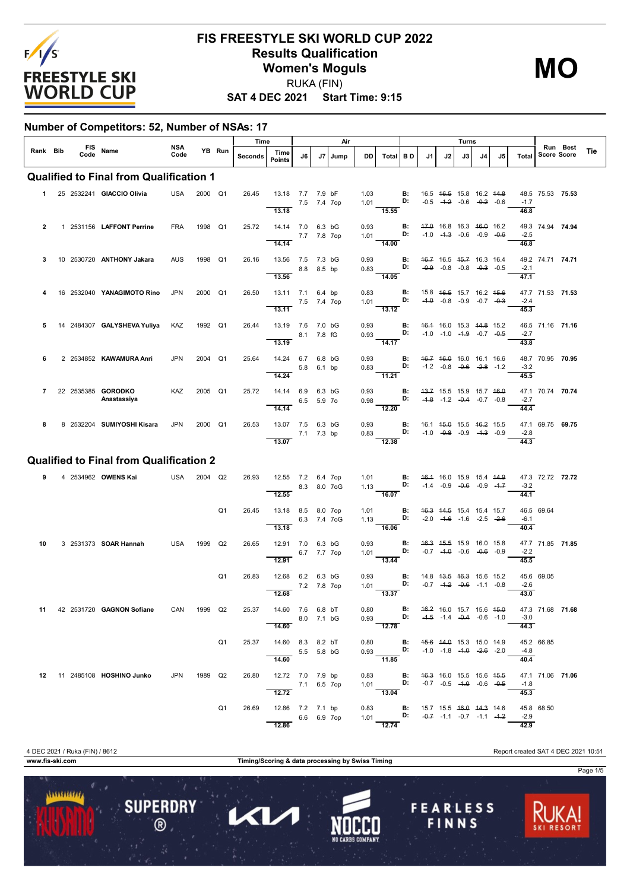

**MO**

**SAT 4 DEC 2021 Start Time: 9:15**

#### **Number of Competitors: 52, Number of NSAs: 17**

|                |      |            |                                                |             |         |                | Time    |                                                        |             |             | Air           |              |                                                                                                                                    |                 |                                                |    | Turns                                                                     |    |    |                                                                                                        |                  |                                |     |
|----------------|------|------------|------------------------------------------------|-------------|---------|----------------|---------|--------------------------------------------------------|-------------|-------------|---------------|--------------|------------------------------------------------------------------------------------------------------------------------------------|-----------------|------------------------------------------------|----|---------------------------------------------------------------------------|----|----|--------------------------------------------------------------------------------------------------------|------------------|--------------------------------|-----|
| Rank Bib       | Code | <b>FIS</b> | Name                                           | NSA<br>Code |         | YB Run         | Seconds | Time<br><b>Points</b>                                  | J6          | J7          | Jump          | DD           | Total                                                                                                                              | <b>BD</b>       | J1                                             | J2 | J3                                                                        | J4 | J5 | Total                                                                                                  |                  | Run Best<br><b>Score Score</b> | Tie |
|                |      |            | <b>Qualified to Final from Qualification 1</b> |             |         |                |         |                                                        |             |             |               |              |                                                                                                                                    |                 |                                                |    |                                                                           |    |    |                                                                                                        |                  |                                |     |
|                |      |            | 1 25 2532241 GIACCIO Olivia                    | USA         | 2000 Q1 |                | 26.45   | 13.18 7.7 7.9 bF<br>13.18                              | 7.5 7.4 7op |             |               | 1.03<br>1.01 | 15.55                                                                                                                              | B:<br>D:        | 16.5 <del>16.5</del> 15.8 16.2 <del>14.8</del> |    | $-0.5$ $-4.2$ $-0.6$ $-0.2$ $-0.6$                                        |    |    | $-1.7$<br>46.8                                                                                         | 48.5 75.53 75.53 |                                |     |
| $\overline{2}$ |      |            | 1 2531156 LAFFONT Perrine                      | <b>FRA</b>  | 1998 Q1 |                | 25.72   | 14.14 7.0 6.3 bG<br>14.14                              | 7.7 7.8 7op |             |               | 0.93<br>1.01 | 14.00                                                                                                                              | <b>B:</b><br>D: | 47.0 16.8 16.3 46.0 16.2                       |    | $-1.0$ $-1.3$ $-0.6$ $-0.9$ $-0.6$                                        |    |    | $-2.5$<br>46.8                                                                                         | 49.3 74.94 74.94 |                                |     |
| 3              |      |            | 10 2530720 ANTHONY Jakara                      | <b>AUS</b>  | 1998 Q1 |                | 26.16   | 13.56 7.5 7.3 bG<br>13.56                              |             | 8.8 8.5 bp  |               | 0.93<br>0.83 | 14.05                                                                                                                              | в:<br>D:        |                                                |    | 46.7 16.5 45.7 16.3 16.4<br>$-0.9$ $-0.8$ $-0.8$ $-0.3$ $-0.5$            |    |    | $-2.1$<br>47.1                                                                                         | 49.2 74.71 74.71 |                                |     |
|                |      |            | 16 2532040 YANAGIMOTO Rino                     | <b>JPN</b>  | 2000 Q1 |                | 26.50   | 13.11 7.1 6.4 bp<br>13.11                              | 7.5 7.4 7op |             |               | 0.83<br>1.01 | 13.12                                                                                                                              | В:<br>D:        |                                                |    | 15.8 46.5 15.7 16.2 45.6<br>$-4.0$ $-0.8$ $-0.9$ $-0.7$ $-0.3$            |    |    | $-2.4$<br>45.3                                                                                         | 47.7 71.53 71.53 |                                |     |
| 5              |      |            | 14 2484307 GALYSHEVA Yuliya                    | KAZ         | 1992 Q1 |                | 26.44   | 13.19 7.6 7.0 bG<br>13.19                              |             | 8.1 7.8 fG  |               | 0.93<br>0.93 | $\overline{14.17}$                                                                                                                 | В:<br>D:        |                                                |    | 46.4 16.0 15.3 44.8 15.2<br>$-1.0$ $-1.0$ $-4.9$ $-0.7$ $-0.5$            |    |    | $-2.7$<br>43.8                                                                                         | 46.5 71.16 71.16 |                                |     |
| 6              |      |            | 2 2534852 KAWAMURA Anri                        | <b>JPN</b>  | 2004    | Q1             | 25.64   | 14.24 6.7 6.8 bG<br>14.24                              |             | 5.8 6.1 bp  |               | 0.93<br>0.83 | <b>D:</b> $-1.2$ $-0.8$ $-0.6$ $-2.8$ $-1.2$<br>11.21                                                                              | <b>B:</b>       | 46.7 46.0 16.0 16.1 16.6                       |    |                                                                           |    |    | $-3.2$<br>45.5                                                                                         | 48.7 70.95 70.95 |                                |     |
| $\overline{7}$ |      |            | 22 2535385 GORODKO<br>Anastassiya              | KAZ         | 2005 Q1 |                | 25.72   | 14.14 6.9 6.3 bG<br>14.14                              |             | 6.5 5.9 7o  |               | 0.93<br>0.98 | 12.20                                                                                                                              | <b>B:</b><br>D: | 43.7 15.5 15.9 15.7 46.0                       |    | $-4.8$ $-1.2$ $-0.4$ $-0.7$ $-0.8$                                        |    |    | $-2.7$<br>44.4                                                                                         | 47.1 70.74 70.74 |                                |     |
| 8              |      |            | 8 2532204 SUMIYOSHI Kisara                     | JPN         | 2000 Q1 |                | 26.53   | 13.07 7.5<br>13.07                                     | 7.1 7.3 bp  | 6.3 bG      |               | 0.93<br>0.83 | $-12.38$                                                                                                                           | В:<br>D:        |                                                |    | 16.1 45.0 15.5 46.2 15.5<br>$-1.0$ $-0.8$ $-0.9$ $-4.3$ $-0.9$            |    |    | $-2.8$<br>44.3                                                                                         | 47.1 69.75 69.75 |                                |     |
|                |      |            | <b>Qualified to Final from Qualification 2</b> |             |         |                |         |                                                        |             |             |               |              |                                                                                                                                    |                 |                                                |    |                                                                           |    |    |                                                                                                        |                  |                                |     |
| 9              |      |            | 4 2534962 OWENS Kai                            | USA         | 2004 Q2 |                | 26.93   | 12.55 7.2 6.4 7op<br>12.55                             |             |             | 8.3 8.0 7 o G | 1.01<br>1.13 | D:<br>$-16.07$                                                                                                                     | <b>B:</b>       |                                                |    | 46.4 16.0 15.9 15.4 44.9<br>$-1.4$ $-0.9$ $-0.6$ $-0.9$ $-1.7$            |    |    | $-3.2$<br>44.1                                                                                         | 47.3 72.72 72.72 |                                |     |
|                |      |            |                                                |             |         | Q <sub>1</sub> | 26.45   | 13.18 8.5 8.0 7op<br>13.18                             |             | 6.3 7.4 7oG |               | 1.01<br>1.13 | D:<br>16.06                                                                                                                        | <b>B:</b>       |                                                |    | 46.3 44.5 15.4 15.4 15.7<br>$-2.0$ $-4.6$ $-1.6$ $-2.5$ $-2.6$            |    |    | $-6.1$<br>40.4                                                                                         | 46.5 69.64       |                                |     |
| 10             |      |            | 3 2531373 <b>SOAR Hannah</b>                   | USA         | 1999    | Q2             | 26.65   | 12.91 7.0 6.3 bG<br>12.91                              |             | 6.7 7.7 7op |               | 0.93<br>1.01 | 13.44                                                                                                                              | <b>B:</b><br>D: | 46.3 45.5 15.9 16.0 15.8                       |    | $-0.7$ $-4.0$ $-0.6$ $-0.6$ $-0.9$                                        |    |    | $-2.2$<br>45.5                                                                                         | 47.7 71.85 71.85 |                                |     |
|                |      |            |                                                |             |         | Q1             | 26.83   | 12.68 6.2 6.3 bG<br>12.68                              |             | 7.2 7.8 7op |               | 0.93<br>1.01 | 13.37                                                                                                                              | В:<br>D:        |                                                |    | 14.8 <del>13.5 16.3</del> 15.6 15.2<br>$-0.7$ $-4.2$ $-0.6$ $-1.1$ $-0.8$ |    |    | $-2.6$<br>43.0                                                                                         | 45.6 69.05       |                                |     |
|                |      |            | 11 42 2531720 GAGNON Sofiane                   | CAN 1999 Q2 |         |                |         | 25.37 14.60 7.6 6.8 bT<br>8.0 7.1 bG<br>14.60          |             |             |               |              | 0.80 <b>B:</b> $46.2$ 16.0 15.7 15.6 45.9 0.93 <b>D:</b> $4.5$ -1.4 -0.4 -0.6 -1.0                                                 |                 |                                                |    |                                                                           |    |    | $-3.0$<br>44.3                                                                                         | 47.3 71.68 71.68 |                                |     |
|                |      |            |                                                |             |         | Q <sub>1</sub> | 25.37   | 14.60 8.3 8.2 bT<br>$5.5$ 5.8 bG<br>14.60              |             |             |               |              | 0.80 <b>B:</b> 4 <del>5.6</del> 44.0 15.3 15.0 14.9<br>0.93 <b>D:</b> -1.0 -1.8 -4.0 -2.6 -2.0<br>$-11.85$                         |                 |                                                |    |                                                                           |    |    | $-4.8$<br>40.4                                                                                         | 45.2 66.85       |                                |     |
|                |      |            | 12 11 2485108 HOSHINO Junko                    | JPN         | 1989 Q2 |                |         | 26.80 12.72 7.0 7.9 bp<br>7.1 6.5 7op<br>12.72         |             |             |               |              | 0.83 <b>B:</b> 4 <del>6.3</del> 16.0 15.5 15.6 45.5<br>1.01 <b>D:</b> -0.7 -0.5 -4. <del>0</del> -0.6 -0.5<br>$\frac{1.01}{13.04}$ |                 |                                                |    |                                                                           |    |    | $-1.8$<br>45.3                                                                                         | 47.1 71.06 71.06 |                                |     |
|                |      |            |                                                |             |         | Q1             |         | 26.69 12.86 7.2 7.1 bp<br>$6.6 \t 6.9 \t 7op$<br>12.86 |             |             |               |              | 12.74                                                                                                                              |                 |                                                |    |                                                                           |    |    | 0.83 <b>B:</b> 15.7 15.5 46.0 44.3 14.6 45.8 1<br>1.01 <b>D:</b> -0.7 -1.1 -0.7 -1.1 -1.2 -2.9<br>42.9 | 45.8 68.50       |                                |     |

...........

**SUPERDRY** 

 $\circledR$ 

**www.fis-ski.com Timing/Scoring & data processing by Swiss Timing**

 $\mathbf U$ 

1

4 DEC 2021 / Ruka (FIN) / 8612 Report created SAT 4 DEC 2021 10:51

**FEARLESS** 

FINNS

Page 1/5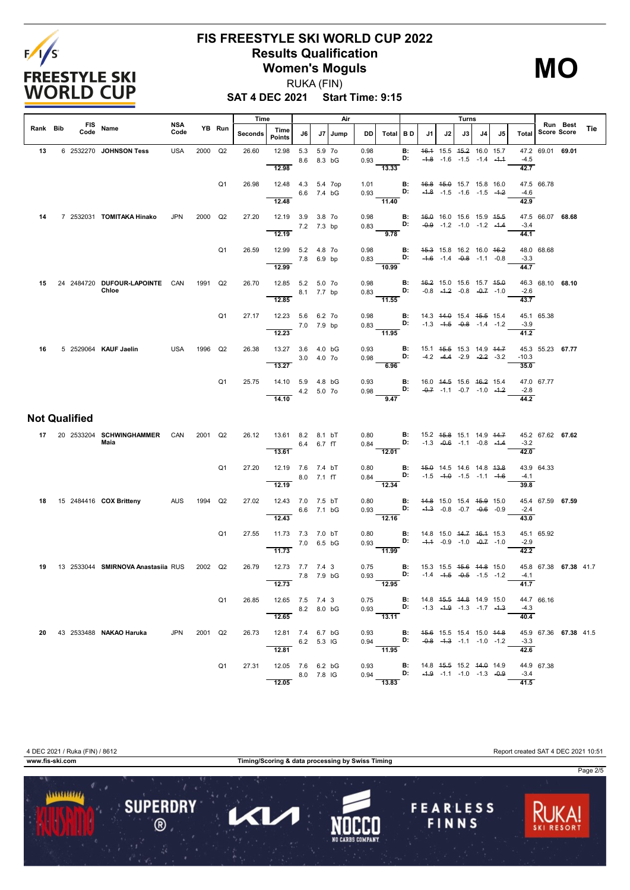

**MO**

**SAT 4 DEC 2021 Start Time: 9:15** RUKA (FIN)

|          |                      |                                         |                    |         |                | Time    |                                                   |             |                  | Air     |              |                                                                                                                       |                 |        |    | Turns                                                                     |    |    |                             |                    |                       |     |
|----------|----------------------|-----------------------------------------|--------------------|---------|----------------|---------|---------------------------------------------------|-------------|------------------|---------|--------------|-----------------------------------------------------------------------------------------------------------------------|-----------------|--------|----|---------------------------------------------------------------------------|----|----|-----------------------------|--------------------|-----------------------|-----|
| Rank Bib | Code                 | FIS Name                                | <b>NSA</b><br>Code |         | YB Run         | Seconds | Time<br><b>Points</b>                             | J6          |                  | J7 Jump | DD           | Total BD                                                                                                              |                 | J1     | J2 | J3                                                                        | J4 | J5 | Total                       | <b>Score Score</b> | Run Best              | Tie |
| 13       |                      | 6 2532270 JOHNSON Tess                  | <b>USA</b>         | 2000    | Q2             | 26.60   | 12.98<br>12.98                                    | 5.3<br>8.6  | 5.9 7o<br>8.3 bG |         | 0.98<br>0.93 | 13.33                                                                                                                 | В:<br>D:        | $-4.8$ |    | 46.4 15.5 45.2 16.0 15.7<br>$-1.6$ $-1.5$ $-1.4$ $-4.4$                   |    |    | $-4.5$<br>42.7              | 47.2 69.01 69.01   |                       |     |
|          |                      |                                         |                    |         | Q <sub>1</sub> | 26.98   | 12.48  4.3  5.4  7op<br>12.48                     | 6.6 7.4 bG  |                  |         | 1.01<br>0.93 | $-11.40$                                                                                                              | <b>B:</b><br>D: |        |    | 46.8 45.0 15.7 15.8 16.0<br>$-4.8$ $-1.5$ $-1.6$ $-1.5$ $-4.2$            |    |    | $-4.6$<br>42.9              | 47.5 66.78         |                       |     |
| 14       |                      | 7 2532031 TOMITAKA Hinako               | <b>JPN</b>         | 2000    | Q2             | 27.20   | 12.19 3.9 3.8 7o<br>12.19                         | 7.2 7.3 bp  |                  |         | 0.98<br>0.83 | D:<br>$\overline{9.78}$                                                                                               | В:              |        |    | 46.0 16.0 15.6 15.9 45.5<br>$-0.9$ $-1.2$ $-1.0$ $-1.2$ $-1.4$            |    |    | $-3.4$<br>44.1              | 47.5 66.07 68.68   |                       |     |
|          |                      |                                         |                    |         | Q <sub>1</sub> | 26.59   | 12.99 5.2 4.8 70<br>12.99                         | 7.8 6.9 bp  |                  |         | 0.98<br>0.83 | D:<br>$\frac{10.99}{ }$                                                                                               | В:              |        |    | 45.3 15.8 16.2 16.0 46.2<br>$-4.6$ $-1.4$ $-0.8$ $-1.1$ $-0.8$            |    |    | $-3.3$<br>44.7              | 48.0 68.68         |                       |     |
| 15       |                      | 24 2484720 DUFOUR-LAPOINTE CAN<br>Chloe |                    | 1991    | Q2             | 26.70   | 12.85 5.2 5.0 7o<br>12.85                         | 8.1 7.7 bp  |                  |         | 0.98<br>0.83 | D:<br>$-11.55$                                                                                                        | B:              |        |    | 46.2 15.0 15.6 15.7 45.0<br>$-0.8$ $-4.2$ $-0.8$ $-0.7$ $-1.0$            |    |    | $-2.6$<br>43.7              | 46.3 68.10 68.10   |                       |     |
|          |                      |                                         |                    |         | Q <sub>1</sub> | 27.17   | 12.23 5.6 6.2 7o<br>12.23                         | 7.0 7.9 bp  |                  |         | 0.98<br>0.83 | D:<br>11.95                                                                                                           | В:              |        |    | 14.3 44.0 15.4 45.5 15.4<br>$-1.3$ $-4.5$ $-0.8$ $-1.4$ $-1.2$            |    |    | $-3.9$<br>41.2              | 45.1 65.38         |                       |     |
| 16       |                      | 5 2529064 KAUF Jaelin                   | <b>USA</b>         | 1996    | Q2             | 26.38   | 13.27 3.6 4.0 bG<br>13.27                         | 3.0 4.0 70  |                  |         | 0.93<br>0.98 | 6.96                                                                                                                  | B:<br>D:        |        |    | 15.1 45.5 15.3 14.9 44.7<br>$-4.2$ $-4.4$ $-2.9$ $-2.2$ $-3.2$            |    |    | $-10.3$<br>35.0             | 45.3 55.23 67.77   |                       |     |
|          |                      |                                         |                    |         | Q <sub>1</sub> | 25.75   | 14.10 5.9 4.8 bG<br>14.10                         | 4.2 5.0 7 o |                  |         | 0.93<br>0.98 | D:<br>9.47                                                                                                            | В:              |        |    | 16.0 44.5 15.6 46.2 15.4<br>$-0.7$ $-1.1$ $-0.7$ $-1.0$ $-4.2$            |    |    | $-2.8$<br>44.2              | 47.0 67.77         |                       |     |
|          | <b>Not Qualified</b> |                                         |                    |         |                |         |                                                   |             |                  |         |              |                                                                                                                       |                 |        |    |                                                                           |    |    |                             |                    |                       |     |
| 17       |                      | 20 2533204 SCHWINGHAMMER<br>Maia        | CAN                | 2001    | Q2             | 26.12   | 13.61 8.2 8.1 bT<br>13.61                         | 6.4 6.7 fT  |                  |         | 0.80         | $0.84$ D:<br>$-12.01$                                                                                                 | В:              |        |    | 15.2 45.8 15.1 14.9 44.7<br>$-1.3$ $-0.6$ $-1.1$ $-0.8$ $-4.4$            |    |    | $-3.2$<br>42.0              | 45.2 67.62 67.62   |                       |     |
|          |                      |                                         |                    |         | Q <sub>1</sub> | 27.20   | 12.19 7.6 7.4 bT<br>12.19                         | 8.0 7.1 fT  |                  |         | 0.80<br>0.84 | D:<br>12.34                                                                                                           | В:              |        |    | 45.0 14.5 14.6 14.8 43.8<br>$-1.5$ $-4.0$ $-1.5$ $-1.1$ $-4.6$            |    |    | $-4.1$<br>39.8              | 43.9 64.33         |                       |     |
| 18       |                      | 15 2484416 COX Britteny                 | <b>AUS</b>         | 1994    | Q2             | 27.02   | 12.43 7.0 7.5 bT<br>12.43                         | 6.6 7.1 bG  |                  |         | 0.80<br>0.93 | $-12.16$                                                                                                              | B:<br>D:        |        |    | 44.8 15.0 15.4 45.9 15.0<br>$-4.3$ $-0.8$ $-0.7$ $-0.6$ $-0.9$            |    |    | $-2.4$<br>43.0              | 45.4 67.59 67.59   |                       |     |
|          |                      |                                         |                    |         | Q1             | 27.55   | 11.73 7.3 7.0 bT<br>11.73                         | 7.0 6.5 bG  |                  |         | 0.80<br>0.93 | D:<br>11.99                                                                                                           | В:              |        |    | 14.8 15.0 44.7 46.4 15.3<br>$-4.4$ $-0.9$ $-1.0$ $-0.7$ $-1.0$            |    |    | $-2.9$<br>42.2              | 45.1 65.92         |                       |     |
| 19       |                      | 13 2533044 SMIRNOVA Anastasiia RUS      |                    | 2002 Q2 |                | 26.79   | 12.73 7.7 7.4 3<br>12.73                          | 7.8 7.9 bG  |                  |         | 0.75<br>0.93 | D:<br>12.95                                                                                                           | В:              |        |    | 15.3 15.5 <del>15.6</del> 44.8 15.0<br>$-1.4$ $-4.5$ $-0.5$ $-1.5$ $-1.2$ |    |    | $-4.1$<br>41.7              |                    | 45.8 67.38 67.38 41.7 |     |
|          |                      |                                         |                    |         | Q1             |         | 26.85 12.65 7.5 7.4 3<br>8.2 8.0 bG<br>12.65      |             |                  |         |              | 0.75 <b>B</b> : 14.8 4 <del>5.5</del> 44.8 14.9 15.0<br>0.93 <b>D:</b> -1.3 -4.9 -1.3 -1.7 -4.3<br>$\overline{13.11}$ |                 |        |    |                                                                           |    |    | $-4.3$<br>40.4              | 44.7 66.16         |                       |     |
|          |                      | 20 43 2533488 NAKAO Haruka JPN 2001 Q2  |                    |         |                |         | 26.73  12.81  7.4  6.7  bG<br>6.2 5.3 IG<br>12.81 |             |                  |         |              | 0.93 <b>B:</b> 45.6 15.5 15.4 15.0 44.8<br>0.94 <b>D:</b> -0.8 -4.3 -1.1 -1.0 -1.2                                    |                 |        |    |                                                                           |    |    | $-3.3$<br>42.6              |                    | 45.9 67.36 67.38 41.5 |     |
|          |                      |                                         |                    |         | Q1             |         | 27.31 12.05 7.6 6.2 bG<br>$- 8.0 7.8$ IG<br>12.05 |             |                  |         |              | 0.93 <b>B:</b> 14.8 4 <del>5.5</del> 15.2 44.9 14.9<br>0.94 <b>D:</b> -4.9 -1.1 -1.0 -1.3 -0.9<br>13.83               |                 |        |    |                                                                           |    |    | $-3.4$<br>$\overline{41.5}$ | 44.9 67.38         |                       |     |

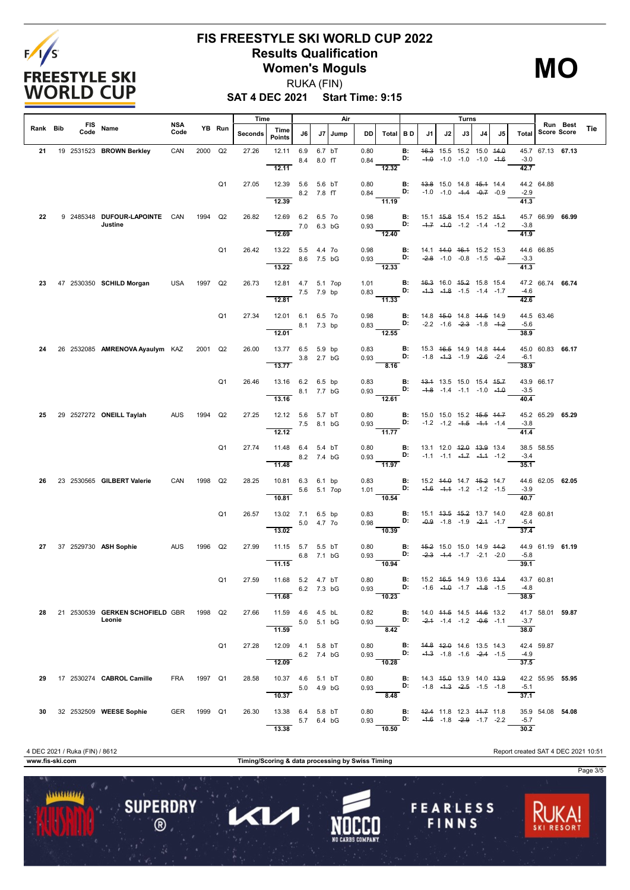

**MO**

**SAT 4 DEC 2021 Start Time: 9:15** RUKA (FIN)

|          |                    |                                                   |                    |         |                | Time    |                                         |             |                      | Air  |              |                                                                                                                   |           |                                                                |    | Turns                                                                                |    |    |                |                    |          |     |
|----------|--------------------|---------------------------------------------------|--------------------|---------|----------------|---------|-----------------------------------------|-------------|----------------------|------|--------------|-------------------------------------------------------------------------------------------------------------------|-----------|----------------------------------------------------------------|----|--------------------------------------------------------------------------------------|----|----|----------------|--------------------|----------|-----|
| Rank Bib | <b>FIS</b><br>Code | Name                                              | <b>NSA</b><br>Code |         | YB Run         | Seconds | Time<br><b>Points</b>                   | J6          | J7                   | Jump | DD           | Total   B D                                                                                                       |           | J1                                                             | J2 | J3                                                                                   | J4 | J5 | Total          | <b>Score Score</b> | Run Best | Tie |
| 21       |                    | 19 2531523 BROWN Berkley                          | CAN                | 2000 Q2 |                | 27.26   | 12.11<br>12.11                          | 6.9<br>8.4  | 6.7 bT<br>8.0 fT     |      | 0.80<br>0.84 | 12.32                                                                                                             | В:<br>D:  |                                                                |    | 46.3 15.5 15.2 15.0 44.0<br>$-4.0$ $-1.0$ $-1.0$ $-1.0$ $-4.6$                       |    |    | $-3.0$<br>42.7 | 45.7 67.13 67.13   |          |     |
|          |                    |                                                   |                    |         | Q1             | 27.05   | 12.39 5.6<br>12.39                      |             | 5.6 bT<br>8.2 7.8 fT |      | 0.80<br>0.84 | $-11.19$                                                                                                          | B:<br>D:  |                                                                |    | 43.8 15.0 14.8 45.4 14.4<br>$-1.0$ $-1.0$ $-4.4$ $-0.7$ $-0.9$                       |    |    | $-2.9$<br>41.3 | 44.2 64.88         |          |     |
| 22       |                    | 9 2485348 DUFOUR-LAPOINTE CAN<br>Justine          |                    | 1994 Q2 |                | 26.82   | 12.69 6.2 6.5 7o<br>12.69               |             | 7.0 6.3 bG           |      | 0.98<br>0.93 | 12.40                                                                                                             | B:<br>D:  |                                                                |    | 15.1 <del>15.8</del> 15.4 15.2 <del>15.1</del><br>$-4.7$ $-4.0$ $-1.2$ $-1.4$ $-1.2$ |    |    | $-3.8$<br>41.9 | 45.7 66.99 66.99   |          |     |
|          |                    |                                                   |                    |         | Q <sub>1</sub> | 26.42   | 13.22  5.5  4.4  7o<br>13.22            | 8.6 7.5 bG  |                      |      | 0.98         | 0.93<br>$\overline{12.33}$                                                                                        | B:<br>D:  |                                                                |    | 14.1 44.0 46.4 15.2 15.3<br>$-2.8$ -1.0 -0.8 -1.5 -0.7                               |    |    | $-3.3$<br>41.3 | 44.6 66.85         |          |     |
| 23       |                    | 47 2530350 SCHILD Morgan                          | USA                | 1997 Q2 |                | 26.73   | 12.81  4.7  5.1  7op<br>12.81           |             | 7.5 7.9 bp           |      | 1.01         | $0.83$ D:<br>$\frac{1}{11.33}$                                                                                    | B:        |                                                                |    | 46.3 16.0 45.2 15.8 15.4<br>$-4.3$ $-4.8$ $-1.5$ $-1.4$ $-1.7$                       |    |    | $-4.6$<br>42.6 | 47.2 66.74 66.74   |          |     |
|          |                    |                                                   |                    |         | Q <sub>1</sub> | 27.34   | 12.01 6.1 6.5 7o<br>12.01               | 8.1 7.3 bp  |                      |      | 0.98<br>0.83 | D:<br>12.55                                                                                                       | B:        |                                                                |    | 14.8 45.0 14.8 44.5 14.9<br>$-2.2$ $-1.6$ $-2.3$ $-1.8$ $-1.2$                       |    |    | $-5.6$<br>38.9 | 44.5 63.46         |          |     |
| 24       |                    | 26 2532085 AMRENOVA Ayaulym KAZ                   |                    | 2001 Q2 |                | 26.00   | 13.77 6.5 5.9 bp<br>13.77               |             | 3.8 2.7 bG           |      | 0.83<br>0.93 | 8.16                                                                                                              | B:<br>D:  |                                                                |    | 15.3 <del>16.5</del> 14.9 14.8 <del>14.4</del><br>$-1.8$ $-4.3$ $-1.9$ $-2.6$ $-2.4$ |    |    | $-6.1$<br>38.9 | 45.0 60.83 66.17   |          |     |
|          |                    |                                                   |                    |         | Q1             | 26.46   | 13.16 6.2 6.5 bp<br>13.16               |             | 8.1 7.7 bG           |      | 0.83<br>0.93 | $\mathbf{D}$<br>12.61                                                                                             | B:        |                                                                |    | 43.4 13.5 15.0 15.4 45.7<br>$-4.8$ $-1.4$ $-1.1$ $-1.0$ $-4.0$                       |    |    | $-3.5$<br>40.4 | 43.9 66.17         |          |     |
| 25       |                    | 29 2527272 ONEILL Taylah                          | AUS                | 1994    | Q2             | 27.25   | 12.12 5.6 5.7 bT<br>7.5 8.1 bG<br>12.12 |             |                      |      | 0.80         | 0.93<br>$-11.77$                                                                                                  | B:<br>D:  |                                                                |    | 15.0 15.0 15.2 <del>15.5 14.7</del><br>$-1.2$ $-1.2$ $-4.5$ $-4.4$ $-1.4$            |    |    | $-3.8$<br>41.4 | 45.2 65.29 65.29   |          |     |
|          |                    |                                                   |                    |         | Q <sub>1</sub> | 27.74   | 11.48 6.4 5.4 bT<br>11.48               |             | 8.2 7.4 bG           |      | 0.80<br>0.93 | $\mathbf{D}$<br>$-11.97$                                                                                          | <b>B:</b> |                                                                |    | 13.1 12.0 <del>12.0</del> 13.9 13.4<br>$-1.1$ $-1.1$ $-4.7$ $-4.4$ $-1.2$            |    |    | $-3.4$<br>35.1 | 38.5 58.55         |          |     |
| 26       |                    | 23 2530565 GILBERT Valerie                        | CAN                | 1998    | Q2             | 28.25   | 10.81 6.3 6.1 bp<br>10.81               | 5.6 5.1 7op |                      |      | 0.83<br>1.01 | 10.54                                                                                                             | B:<br>D:  |                                                                |    | 15.2 44.0 14.7 45.2 14.7<br>$-4.6$ $-4.4$ $-1.2$ $-1.2$ $-1.5$                       |    |    | $-3.9$<br>40.7 | 44.6 62.05 62.05   |          |     |
|          |                    |                                                   |                    |         | Q <sub>1</sub> | 26.57   | 13.02 7.1 6.5 bp<br>13.02               |             | 5.0 4.7 70           |      | 0.83<br>0.98 | $-10.39$                                                                                                          | B:<br>D:  |                                                                |    | 15.1 43.5 45.2 13.7 14.0<br>$-0.9$ $-1.8$ $-1.9$ $-2.4$ $-1.7$                       |    |    | -5.4<br>37.4   | 42.8 60.81         |          |     |
| 27       |                    | 37 2529730 ASH Sophie                             | AUS                | 1996    | Q2             | 27.99   | 11.15 5.7<br>11.15                      |             | 5.5 bT<br>6.8 7.1 bG |      | 0.80<br>0.93 | 10.94                                                                                                             | B:<br>D:  |                                                                |    | 45.2 15.0 15.0 14.9 44.2<br>$-2.3$ $-4.4$ $-1.7$ $-2.1$ $-2.0$                       |    |    | $-5.8$<br>39.1 | 44.9 61.19 61.19   |          |     |
|          |                    |                                                   |                    |         | Q1             | 27.59   | 11.68 5.2 4.7 bT<br>11.68               | 6.2 7.3 bG  |                      |      | 0.80<br>0.93 | 10.23                                                                                                             | B:<br>D:  | 15.2 46.5 14.9 13.6 43.4<br>$-1.6$ $-1.0$ $-1.7$ $-1.8$ $-1.5$ |    |                                                                                      |    |    | $-4.8$<br>38.9 | 43.7 60.81         |          |     |
| 28       |                    | 21 2530539 GERKEN SCHOFIELD GBR 1998 Q2<br>Leonie |                    |         |                | 27.66   | 11.59  4.6  4.5  bL<br>11.59            | 5.0 5.1 bG  |                      |      |              | 0.82 <b>B</b> : 14.0 <del>11.5</del> 14.5 <del>14.6</del> 13.2<br>0.93 <b>D:</b> -2.4 -1.4 -1.2 -0.6 -1.1<br>8.42 |           |                                                                |    |                                                                                      |    |    | $-3.7$<br>38.0 | 41.7 58.01 59.87   |          |     |
|          |                    |                                                   |                    |         | Q <sub>1</sub> | 27.28   | 12.09  4.1  5.8 bT<br>12.09             | 6.2 7.4 bG  |                      |      |              | 0.80 <b>B:</b> 44.8 42.0 14.6 13.5 14.3<br>0.93 <b>D:</b> -4.3 -1.8 -1.6 -2.4 -1.5<br>$-10.28$                    |           |                                                                |    |                                                                                      |    |    | $-4.9$<br>37.5 | 42.4 59.87         |          |     |
| 29       |                    | 17 2530274 CABROL Camille                         | FRA 1997 Q1        |         |                | 28.58   | 10.37 4.6 5.1 bT<br>10.37               | 5.0 4.9 bG  |                      |      |              | 0.80 <b>B:</b> 14.3 45.0 13.9 14.0 43.9<br>0.93 <b>D:</b> $-1.8$ $-4.3$ $-2.5$ $-1.5$ $-1.8$<br>8.48              |           |                                                                |    |                                                                                      |    |    | $-5.1$<br>37.1 | 42.2 55.95 55.95   |          |     |
| 30       |                    | 32 2532509 WEESE Sophie                           | GER 1999 Q1        |         |                | 26.30   | 13.38 6.4 5.8 bT<br>13.38               | 5.7 6.4 bG  |                      |      |              | 0.80 <b>B:</b> 42.4 11.8 12.3 44.7 11.8<br>0.93 <b>D:</b> -4.6 -1.8 -2.9 -1.7 -2.2<br>10.50                       |           |                                                                |    |                                                                                      |    |    | $-5.7$<br>30.2 | 35.9 54.08 54.08   |          |     |

**www.fis-ski.com Timing/Scoring & data processing by Swiss Timing**

 $\blacktriangleleft$ 

Π

**SUPERDRY** 

 $\circledR$ 

 $11111111111$ 

**FEARLESS** 

FINNS

Page 3/5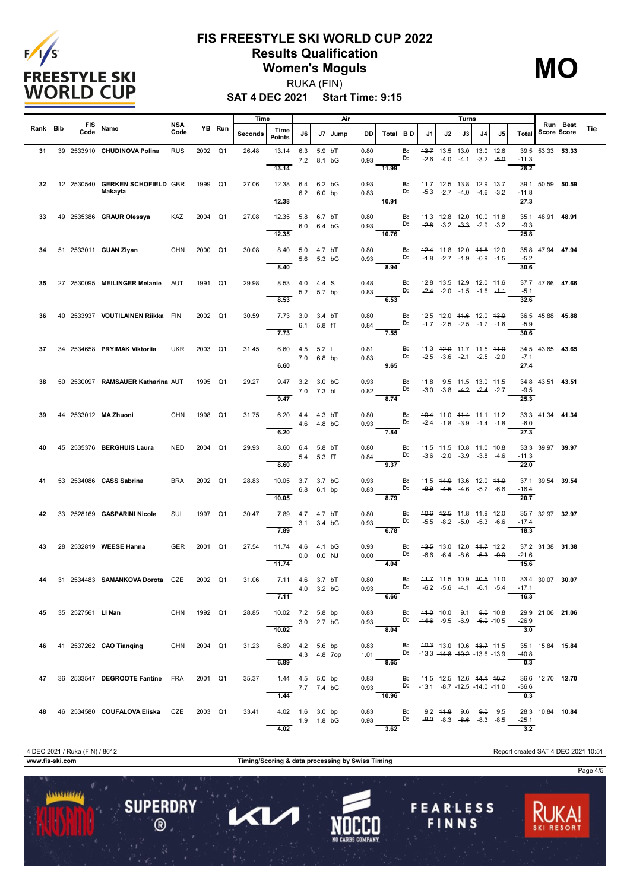

**MO**

**SAT 4 DEC 2021 Start Time: 9:15** RUKA (FIN)

|          |             |                                                  |             |         |        | Time    |                                          |                            |                  | Air  |              |                                                                                                                         |                 |    |    | Turns                                                             |    |    |                             |                    |          |     |
|----------|-------------|--------------------------------------------------|-------------|---------|--------|---------|------------------------------------------|----------------------------|------------------|------|--------------|-------------------------------------------------------------------------------------------------------------------------|-----------------|----|----|-------------------------------------------------------------------|----|----|-----------------------------|--------------------|----------|-----|
| Rank Bib | FIS<br>Code | Name                                             | NSA<br>Code |         | YB Run | Seconds | Time<br><b>Points</b>                    | J6                         | J7               | Jump | DD           | Total BD                                                                                                                |                 | J1 | J2 | J3                                                                | J4 | J5 | Total                       | <b>Score Score</b> | Run Best | Tie |
| 31       |             | 39 2533910 CHUDINOVA Polina                      | <b>RUS</b>  | 2002 Q1 |        | 26.48   | 13.14<br>13.14                           | 6.3<br>7.2                 | 5.9 bT<br>8.1 bG |      | 0.80<br>0.93 | 11.99                                                                                                                   | В:<br>D:        |    |    | 43.7 13.5 13.0 13.0 42.6<br>$-2.6$ $-4.0$ $-4.1$ $-3.2$ $-5.0$    |    |    | $-11.3$<br>28.2             | 39.5 53.33 53.33   |          |     |
| 32       |             | 12 2530540 GERKEN SCHOFIELD GBR<br>Makayla       |             | 1999    | Q1     | 27.06   | 12.38 6.4 6.2 bG<br>12.38                | 6.2 6.0 bp                 |                  |      | 0.93<br>0.83 | 10.91                                                                                                                   | В:<br>D:        |    |    | 44.7 12.5 43.8 12.9 13.7<br>$-5.3$ $-2.7$ $-4.0$ $-4.6$ $-3.2$    |    |    | $-11.8$<br>27.3             | 39.1 50.59 50.59   |          |     |
| 33       |             | 49 2535386 GRAUR Olessya                         | KAZ         | 2004 Q1 |        | 27.08   | 12.35 5.8 6.7 bT<br>12.35                | 6.0 6.4 bG                 |                  |      | 0.80<br>0.93 | 10.76                                                                                                                   | В:<br>D:        |    |    | 11.3 42.8 12.0 40.0 11.8<br>$-2.8$ $-3.2$ $-3.3$ $-2.9$ $-3.2$    |    |    | $-9.3$<br>25.8              | 35.1 48.91 48.91   |          |     |
| 34       |             | 51 2533011 GUAN Ziyan                            | CHN         | 2000 Q1 |        | 30.08   | 8.40 5.0 4.7 bT<br>8.40                  | 5.6 5.3 bG                 |                  |      | 0.80<br>0.93 | D:<br>8.94                                                                                                              | B:              |    |    | 42.4 11.8 12.0 44.8 12.0<br>$-1.8$ $-2.7$ $-1.9$ $-0.9$ $-1.5$    |    |    | $-5.2$<br>30.6              | 35.8 47.94 47.94   |          |     |
| 35       |             | 27 2530095 MEILINGER Melanie AUT                 |             | 1991 Q1 |        | 29.98   | 8.53 4.0 4.4 S                           | 5.2 5.7 bp                 |                  |      | 0.48<br>0.83 |                                                                                                                         | <b>B:</b><br>D: |    |    | 12.8 43.5 12.9 12.0 44.6<br>$-2.4$ $-2.0$ $-1.5$ $-1.6$ $-1.4$    |    |    | $-5.1$                      | 37.7 47.66 47.66   |          |     |
| 36       |             | 40 2533937 VOUTILAINEN Riikka FIN                |             | 2002 Q1 |        | 30.59   | 8.53<br>7.73                             | 3.0 3.4 bT<br>$6.1$ 5.8 fT |                  |      | 0.80<br>0.84 | 6.53<br>D:                                                                                                              | В:              |    |    | 12.5 12.0 44.6 12.0 43.0<br>$-1.7$ $-2.5$ $-2.5$ $-1.7$ $-4.6$    |    |    | 32.6<br>$-5.9$              | 36.5 45.88 45.88   |          |     |
| 37       |             | 34 2534658 PRYIMAK Viktorija                     | <b>UKR</b>  | 2003 Q1 |        | 31.45   | 7.73<br>$6.60$ $4.5$ $5.2$ l             | 7.0 6.8 bp                 |                  |      | 0.81<br>0.83 | 7.55                                                                                                                    | B:<br>D:        |    |    | 11.3 42.0 11.7 11.5 44.0<br>$-2.5$ $-3.6$ $-2.1$ $-2.5$ $-2.0$    |    |    | 30.6<br>$-7.1$              | 34.5 43.65 43.65   |          |     |
| 38       |             | 50 2530097 RAMSAUER Katharina AUT                |             | 1995 Q1 |        | 29.27   | 6.60<br>9.47 3.2 3.0 bG                  | 7.0 7.3 bL                 |                  |      | 0.93<br>0.82 | 9.65                                                                                                                    | <b>B:</b><br>D: |    |    | 11.8 $9.5$ 11.5 $13.0$ 11.5<br>$-3.0$ $-3.8$ $-4.2$ $-2.4$ $-2.7$ |    |    | 27.4<br>$-9.5$              | 34.8 43.51 43.51   |          |     |
| 39       |             | 44 2533012 MA Zhuoni                             | CHN         | 1998    | Q1     | 31.75   | 9.47<br>6.20                             | 4.4 4.3 bT<br>4.6 4.8 bG   |                  |      | 0.80<br>0.93 | 8.74<br>D:                                                                                                              | <b>B:</b>       |    |    | 40.4 11.0 44.4 11.1 11.2<br>$-2.4$ $-1.8$ $-3.9$ $-4.4$ $-1.8$    |    |    | 25.3<br>$-6.0$              | 33.3 41.34 41.34   |          |     |
| 40       |             | 45 2535376 BERGHUIS Laura                        | <b>NED</b>  | 2004 Q1 |        | 29.93   | 6.20<br>8.60 6.4 5.8 bT                  |                            |                  |      | 0.80         | 7.84                                                                                                                    | <b>B:</b><br>D: |    |    | 11.5 44.5 10.8 11.0 40.8<br>$-3.6$ $-2.0$ $-3.9$ $-3.8$ $-4.6$    |    |    | 27.3<br>$-11.3$             | 33.3 39.97 39.97   |          |     |
|          |             | 53 2534086 CASS Sabrina                          | <b>BRA</b>  | 2002 Q1 |        | 28.83   | 8.60<br>10.05                            | 5.4 5.3 fT<br>3.7 3.7 bG   |                  |      | 0.84<br>0.93 | 9.37                                                                                                                    | В:              |    |    | 11.5 44.0 13.6 12.0 44.0                                          |    |    | 22.0                        | 37.1 39.54 39.54   |          |     |
| 42       |             | 33 2528169 <b>GASPARINI Nicole</b>               | SUI         | 1997 Q1 |        | 30.47   | 10.05<br>7.89  4.7  4.7  bT              | 6.8 6.1 bp                 |                  |      | 0.83<br>0.80 | 8.79                                                                                                                    | D:<br>В:        |    |    | $-8.9$ $-4.5$ $-4.6$ $-5.2$ $-6.6$<br>40.6 42.5 11.8 11.9 12.0    |    |    | $-16.4$<br>20.7             | 35.7 32.97 32.97   |          |     |
|          |             |                                                  |             |         |        |         | 7.89                                     | 3.1 3.4 bG                 |                  |      | 0.93         | 6.78                                                                                                                    | D:              |    |    | $-5.5$ $-8.2$ $-5.0$ $-5.3$ $-6.6$                                |    |    | $-17.4$<br>18.3             |                    |          |     |
| 43       |             | 28 2532819 WEESE Hanna                           | <b>GER</b>  | 2001 Q1 |        | 27.54   | 11.74  4.6  4.1  bG<br>11.74             | $0.0$ $0.0$ NJ             |                  |      | 0.93<br>0.00 | 4.04                                                                                                                    | В:<br>D:        |    |    | 43.5 13.0 12.0 44.7 12.2<br>$-6.6$ $-6.4$ $-8.6$ $-6.3$ $-9.0$    |    |    | $-21.6$<br>15.6             | 37.2 31.38 31.38   |          |     |
|          |             | 31 2534483 SAMANKOVA Dorota CZE                  |             | 2002 Q1 |        | 31.06   | 7.11 4.6 3.7 bT<br>7.11                  | 4.0 3.2 bG                 |                  |      | 0.80<br>0.93 | D: $-6.2$ $-5.6$ $-4.4$ $-6.1$ $-5.4$<br>6.66                                                                           | В:              |    |    | 44.7 11.5 10.9 40.5 11.0                                          |    |    | 16.3                        | 33.4 30.07 30.07   |          |     |
|          |             | 45 35 2527561 LINan                              | CHN 1992 Q1 |         |        | 28.85   | 10.02 7.2 5.8 bp<br>3.0 2.7 bG<br>10.02  |                            |                  |      |              | 0.83 <b>B:</b> 44.0 10.0 9.1 8.0 10.8<br>8.04                                                                           |                 |    |    |                                                                   |    |    | $-26.9$<br>$\overline{3.0}$ | 29.9 21.06 21.06   |          |     |
| 46       |             | 41 2537262 CAO Tianging                          | CHN 2004 Q1 |         |        | 31.23   | 6.89  4.2  5.6 bp<br>4.3 4.8 7op<br>6.89 |                            |                  |      |              | 0.83 <b>B:</b> 4 <del>0.3</del> 13.0 10.6 43.7 11.5<br>1.01 <b>D:</b> -13.3 -14.8 -10.2 -13.6 -13.9<br>8.65             |                 |    |    |                                                                   |    |    | -40.8<br>0.3                | 35.1 15.84 15.84   |          |     |
| 47       |             | 36 2533547 DEGROOTE Fantine FRA 2001 Q1          |             |         |        | 35.37   | 1.44  4.5  5.0 bp<br>7.7 7.4 bG          | 1.44                       |                  |      |              | 0.83 <b>B</b> : 11.5 12.5 12.6 <del>14.1 10.7</del><br>0.93 <b>D:</b> -13.1 -8.7 -12.5 -14.0 -11.0<br>$\frac{1}{10.96}$ |                 |    |    |                                                                   |    |    | -36.6<br>0.3                | 36.6 12.70 12.70   |          |     |
|          |             | 48  46  2534580  COUFALOVA Eliska  CZE  2003  Q1 |             |         |        | 33.41   | 4.02  1.6  3.0 bp<br>$\overline{4.02}$   | $-$ 1.9 1.8 bG             |                  |      |              | 0.83 <b>B</b> : 9.2 44.8 9.6 9.0 9.5<br>0.93 <b>D:</b> -8.0 -8.3 -8.6 -8.3 -8.5<br>3.62                                 |                 |    |    |                                                                   |    |    | $-25.1$<br>3.2              | 28.3 10.84 10.84   |          |     |

**www.fis-ski.com Timing/Scoring & data processing by Swiss Timing**

1

 $\mathbf{C}$ 

**SUPERDRY** 

 $\circledR$ 

 $11111111111$ 

4 DEC 2021 / Ruka (FIN) / 8612 Report created SAT 4 DEC 2021 10:51

**FEARLESS** 

FINNS

Page 4/5